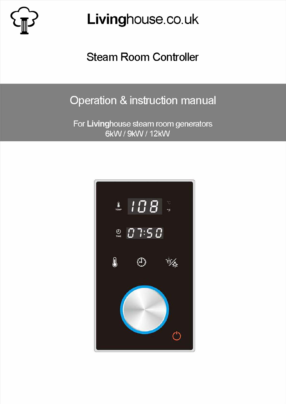Livinghouse.co.uk

Steam Room Controller

# Operation & instruction manual

For Livinghouse steam room generators 6kW / 9kW / 12kW

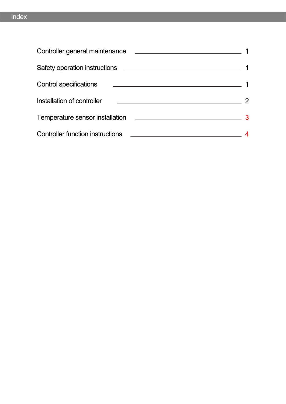| Controller general maintenance          |  |
|-----------------------------------------|--|
|                                         |  |
| <b>Control specifications</b>           |  |
| Installation of controller              |  |
| Temperature sensor installation         |  |
| <b>Controller function instructions</b> |  |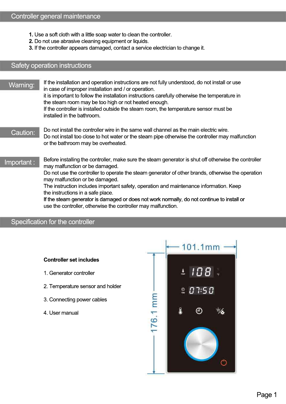- **1.** Use a soft cloth with a little soap water to clean the controller.
- **2.** Do not use abrasive cleaning equipment or liquids.
- **3.** If the controller appears damaged, contact a service electrician to change it.

#### Safety operation instructions

If the controller is installed to<br>installed in the bathroom. Warning: If the installation and operation instructions are not fully understood, do not install or use in case of improper installation and / or operation. it is important to follow the installation instructions carefully otherwise the temperature in the steam room may be too high or not heated enough. If the controller is installed outside the steam room, the temperature sensor must be

- Caution: Do not install the controller wire in the same wall channel as the main electric wire. Do not install too close to hot water or the steam pipe otherwise the controller may malfunction or the bathroom may be overheated.
- Important: Before installing the controller, make sure the steam generator is shut off otherwise the controller may malfunction or be damaged.

Do not use the controller to operate the steam generator of other brands, otherwise the operation may malfunction or be damaged.

The instruction includes important<br>the instructions in a safe place. The instruction includes important safety, operation and maintenance information. Keep

> If the steam generator is damaged or does not work normally, do not continue to install or use the controller, otherwise the controller may malfunction.

#### Specification for the controller

#### **Controller set includes**

- 1. Generator controller
- 2. Temperature sensor and holder
- 3. Connecting power cables
- 4. User manual

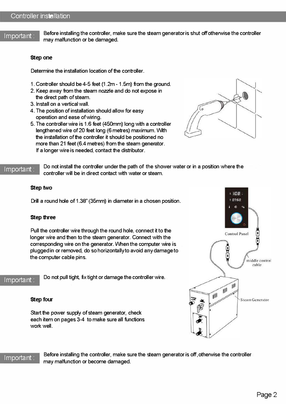Important: Before installing the controller, make sure the steam generator is shut off otherwise the controller may malfunction or be damaged.

#### **step one**

Determine the installation location of the controller.

- 1. Controller should be  $4-5$  feet (1.2m 1.5m) from the ground.
- 2. Keep away from the steam nozzle and do not expose in the direct path of steam.
- 3. Install on a vertical wall.
- 4. The position of installation should allow for easy operation and ease of wiring.
- 5. The controller wire is 1.6 feet (450mm) long with a controller lengthened wire of 20 feet long (6 metres) maximum. With the installation of the controller it should be positioned no more than 21 feet (6.4 metres) from the steam generator. If a longer wire is needed, contact the distributor.



Important: Do not install the controller under the path of the shower water or in a position where the controller will be in direct contact with water or steam.

#### **step two**

Drill a round hole of 1.38" (35mm) in diameter in a chosen position.

#### **step three**

Pull the controller wire through the round hole, connect it to the longer wire and then to the steam generator. Connect with the corresponding wire on the generator. When the computer wire is plugged in or removed, do so horizontally to avoid any damage to the computer cable pins.

Important: Do not pull tight, fix tight or damage the controller wire.

#### **step four**

Start the power supply of steam generator, check each item on pages 3-4 to make sure all functions work well.



Important: Before installing the controller, make sure the steam generator is off, otherwise the controller may malfunction or become damaged.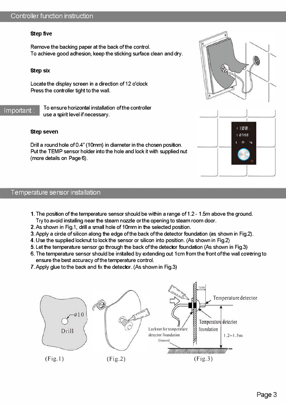#### step five

Remove the backing paper at the back of the control. To achieve good adhesion, keep the sticking surface clean and dry.

#### **step six**

Locate the display screen in a direction of 12 o'clock Press the controller tight to the wall.

Important: To ensure horizontal installation of the controller use a spirit level if necessary.

#### **step seven**

Drill a round hole of0.4" (10mm) in diameter in the chosen position. Put the TEMP sensor holder into the hole and lock it with supplied nut (more details on Page 6).

#### Temperature sensor installation

- 1. The position of the temperature sensor should be within a range of 1.2 1.5m above the ground. Try to avoid installing near the steam nozzle or the opening to steam room door.
- 2. As shovvn in Fig.1, drill a small hole of 10mm in the selected position.
- 3. Apply a cirde of silicon along the edge of the back of the detector foundation (as shown in Fig.2).
- 4. Use the supplied locknut to lock the sensor or silicon into position. (As shown in Fig.2)
- 5. Let the temperature sensor go through the back ofthe detector foundation (As shovvn in Fig.3)
- 6. The temperature sensor should be installed by extending out 1 cm from the front of the wall covering to ensure the best accuracy of the temperature control.
- 7. Apply glue to the back and fix the detector. (As shown in Fig.3)





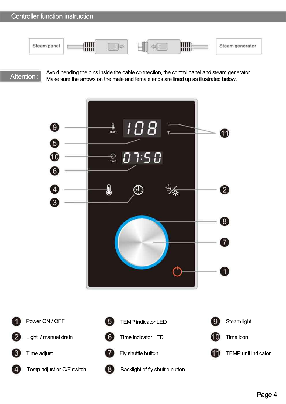| Steam panel | ₩₩ |  | an I | ШШ<br>шш | Steam generator |
|-------------|----|--|------|----------|-----------------|
|-------------|----|--|------|----------|-----------------|

# Attention:

2

 $\mathbf{3}$ 

Avoid bending the pins inside the cable connection, the control panel and steam generator. Make sure the arrows on the male and female ends are lined up as illustrated below.

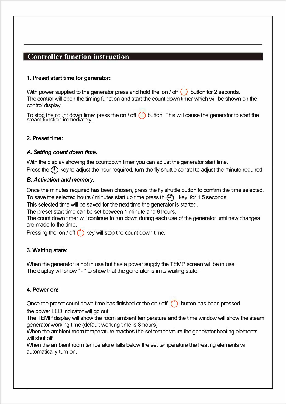# **Controller function instruction**

## **1. Preset start time for generator:**

With power supplied to the generator press and hold the on / off  $\binom{1}{k}$  button for 2 seconds. The control will open the timing function and start the count down timer which will be shown on the control display.

To stop the count down timer press the on / off (U) button. This will cause the generator to start the steam function immediately.

## **2. Preset time:**

## *A. Setting count down time.*

With the display showing the countdown timer you can adjust the generator start time. Press the  $(\mathcal{F})$  key to adjust the hour required, turn the fly shuttle control to adjust the minute required.

# *B. Activation and memory.*

Once the minutes required has been chosen, press the fly shuttle button to confirm the time selected. To save the selected hours / minutes start up time press th $(\mathcal{F})$  key for 1.5 seconds.

This selected time will be saved for the next time the generator is started.

The preset start time can be set between 1 minute and 8 hours.

The count down timer will continue to run down during each use of the generator until new changes are made to the time.

Pressing the on / off (') key will stop the count down time.

# **3. Waiting state:**

When the generator is not in use but has a power supply the TEMP screen will be in use. The display will show " - " to show that the generator is in its waiting state.

## **4. Power on:**

Once the preset count down time has finished or the on / off () button has been pressed the power LED indicator will go out.

The TEMP display will show the room ambient temperature and the time window will show the steam generator working time (default working time is 8 hours).

When the ambient room temperature reaches the set temperature the generator heating elements will shut off.

When the ambient room temperature falls below the set temperature the heating elements will automatically turn on.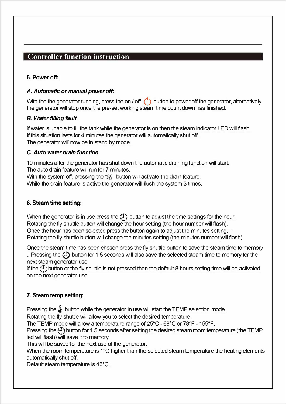# **Controller function instruction**

## **5. Power off:**

#### A. Automatic or manual power off:

With the the generator running, press the on / off () button to power off the generator, alternatively the generator will stop once the pre-set working steam time count down has finished.

## *B. Water filling fault.*

If water is unable to fill the tank while the generator is on then the steam indicator LED will flash. If this situation lasts for 4 minutes the generator will automatically shut off. The generator will now be in stand by mode.

#### **C.** *Auto water drain function.*

10 minutes after the generator has shut down the automatic draining function will start. The auto drain feature will run for 7 minutes.

With the system off, pressing the  $\frac{1}{2}$  button will activate the drain feature. While the drain feature is active the generator will flush the system 3 times.

# **6. Steam time setting:**

When the generator is in use press the  $(1)$  button to adjust the time settings for the hour. Rotating the fly shuttle button will change the hour setting (the hour number will flash). Once the hour has been selected press the button again to adjust the minutes setting. Rotating the fly shuttle button will change the minutes setting (the minutes number will flash).

Once the steam time has been chosen press the fly shuttle button to save the steam time to memory .. Pressing the  $(1)$  button for 1.5 seconds will also save the selected steam time to memory for the next steam generator use.

If the  $(1)$  button or the fly shuttle is not pressed then the default 8 hours setting time will be activated on the next generator use.

# **7. Steam temp setting:**

Pressing the  $\&$  button while the generator in use will start the TEMP selection mode.

Rotating the fly shuttle will allow you to select the desired temperature.

The TEMP mode will allow a temperature range of 25°C - 68°C or 78°F - 155°F.

Pressing the  $\binom{n}{2}$  button for 1.5 seconds after setting the desired steam room temperature (the TEMP led will flash) will save it to memory.

This will be saved for the next use of the generator.

When the room temperature is 1°C higher than the selected steam temperature the heating elements automatically shut off.

Default steam temperature is 45°C.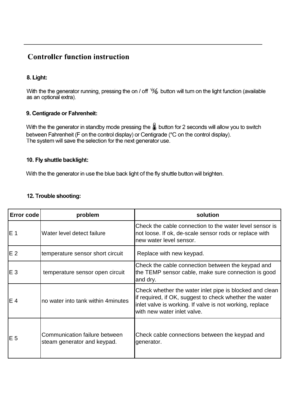# **Controller function instruction**

# **8. Light:**

With the the generator running, pressing the on / off  $\frac{1}{2}$  button will tum on the light function (available as an optional extra).

## **9. Centigrade or Fahrenheit:**

With the the generator in standby mode pressing the  $\&$  button for 2 seconds will allow you to switch between Fahrenheit (F on the control display) or Centigrade ( °C on the control display). The system will save the selection for the next generator use.

#### **10. Fly shuttle backlight:**

With the the generator in use the blue back light of the fly shuttle button will brighten.

| 12. Trouble shooting: |  |
|-----------------------|--|
|-----------------------|--|

| <b>Error code</b> | problem                                                      | solution                                                                                                                                                                                                     |
|-------------------|--------------------------------------------------------------|--------------------------------------------------------------------------------------------------------------------------------------------------------------------------------------------------------------|
| IE 1              | Water level detect failure                                   | Check the cable connection to the water level sensor is<br>not loose. If ok, de-scale sensor rods or replace with<br>new water level sensor.                                                                 |
| IE 2              | temperature sensor short circuit                             | Replace with new keypad.                                                                                                                                                                                     |
| IE 3              | temperature sensor open circuit                              | Check the cable connection between the keypad and<br>the TEMP sensor cable, make sure connection is good<br>and dry.                                                                                         |
| IE 4              | no water into tank within 4 minutes                          | Check whether the water inlet pipe is blocked and clean<br>if required, if OK, suggest to check whether the water<br>inlet valve is working. If valve is not working, replace<br>with new water inlet valve. |
| IE 5              | Communication failure between<br>steam generator and keypad. | Check cable connections between the keypad and<br>generator.                                                                                                                                                 |